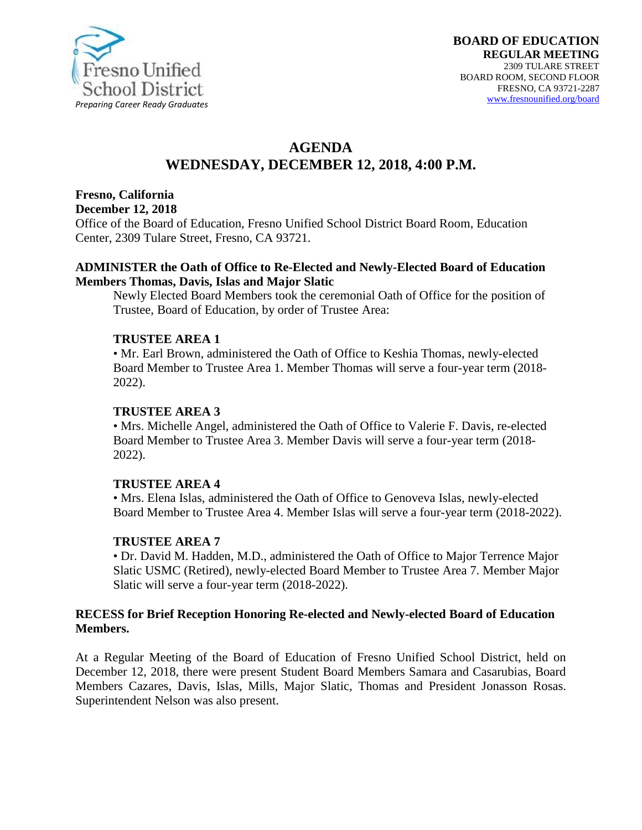

# **AGENDA WEDNESDAY, DECEMBER 12, 2018, 4:00 P.M.**

# **Fresno, California**

**December 12, 2018** 

Office of the Board of Education, Fresno Unified School District Board Room, Education Center, 2309 Tulare Street, Fresno, CA 93721.

#### **ADMINISTER the Oath of Office to Re-Elected and Newly-Elected Board of Education Members Thomas, Davis, Islas and Major Slatic**

Newly Elected Board Members took the ceremonial Oath of Office for the position of Trustee, Board of Education, by order of Trustee Area:

### **TRUSTEE AREA 1**

• Mr. Earl Brown, administered the Oath of Office to Keshia Thomas, newly-elected Board Member to Trustee Area 1. Member Thomas will serve a four-year term (2018- 2022).

### **TRUSTEE AREA 3**

• Mrs. Michelle Angel, administered the Oath of Office to Valerie F. Davis, re-elected Board Member to Trustee Area 3. Member Davis will serve a four-year term (2018- 2022).

#### **TRUSTEE AREA 4**

• Mrs. Elena Islas, administered the Oath of Office to Genoveva Islas, newly-elected Board Member to Trustee Area 4. Member Islas will serve a four-year term (2018-2022).

### **TRUSTEE AREA 7**

• Dr. David M. Hadden, M.D., administered the Oath of Office to Major Terrence Major Slatic USMC (Retired), newly-elected Board Member to Trustee Area 7. Member Major Slatic will serve a four-year term (2018-2022).

### **RECESS for Brief Reception Honoring Re-elected and Newly-elected Board of Education Members.**

At a Regular Meeting of the Board of Education of Fresno Unified School District, held on December 12, 2018, there were present Student Board Members Samara and Casarubias, Board Members Cazares, Davis, Islas, Mills, Major Slatic, Thomas and President Jonasson Rosas. Superintendent Nelson was also present.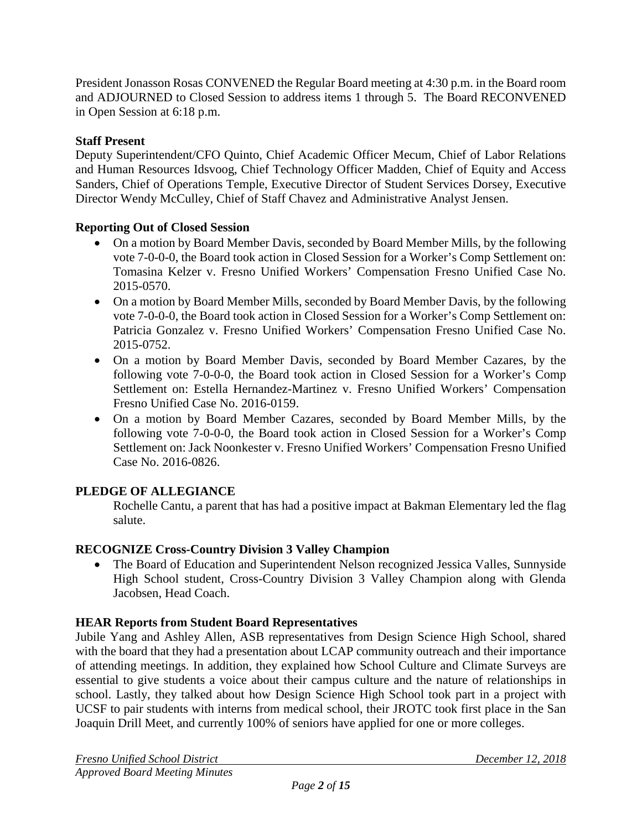President Jonasson Rosas CONVENED the Regular Board meeting at 4:30 p.m. in the Board room and ADJOURNED to Closed Session to address items 1 through 5. The Board RECONVENED in Open Session at 6:18 p.m.

# **Staff Present**

Deputy Superintendent/CFO Quinto, Chief Academic Officer Mecum, Chief of Labor Relations and Human Resources Idsvoog, Chief Technology Officer Madden, Chief of Equity and Access Sanders, Chief of Operations Temple, Executive Director of Student Services Dorsey, Executive Director Wendy McCulley, Chief of Staff Chavez and Administrative Analyst Jensen.

## **Reporting Out of Closed Session**

- On a motion by Board Member Davis, seconded by Board Member Mills, by the following vote 7-0-0-0, the Board took action in Closed Session for a Worker's Comp Settlement on: Tomasina Kelzer v. Fresno Unified Workers' Compensation Fresno Unified Case No. 2015-0570.
- On a motion by Board Member Mills, seconded by Board Member Davis, by the following vote 7-0-0-0, the Board took action in Closed Session for a Worker's Comp Settlement on: Patricia Gonzalez v. Fresno Unified Workers' Compensation Fresno Unified Case No. 2015-0752.
- On a motion by Board Member Davis, seconded by Board Member Cazares, by the following vote 7-0-0-0, the Board took action in Closed Session for a Worker's Comp Settlement on: Estella Hernandez-Martinez v. Fresno Unified Workers' Compensation Fresno Unified Case No. 2016-0159.
- On a motion by Board Member Cazares, seconded by Board Member Mills, by the following vote 7-0-0-0, the Board took action in Closed Session for a Worker's Comp Settlement on: Jack Noonkester v. Fresno Unified Workers' Compensation Fresno Unified Case No. 2016-0826.

# **PLEDGE OF ALLEGIANCE**

Rochelle Cantu, a parent that has had a positive impact at Bakman Elementary led the flag salute.

### **RECOGNIZE Cross-Country Division 3 Valley Champion**

• The Board of Education and Superintendent Nelson recognized Jessica Valles, Sunnyside High School student, Cross-Country Division 3 Valley Champion along with Glenda Jacobsen, Head Coach.

# **HEAR Reports from Student Board Representatives**

Jubile Yang and Ashley Allen, ASB representatives from Design Science High School, shared with the board that they had a presentation about LCAP community outreach and their importance of attending meetings. In addition, they explained how School Culture and Climate Surveys are essential to give students a voice about their campus culture and the nature of relationships in school. Lastly, they talked about how Design Science High School took part in a project with UCSF to pair students with interns from medical school, their JROTC took first place in the San Joaquin Drill Meet, and currently 100% of seniors have applied for one or more colleges.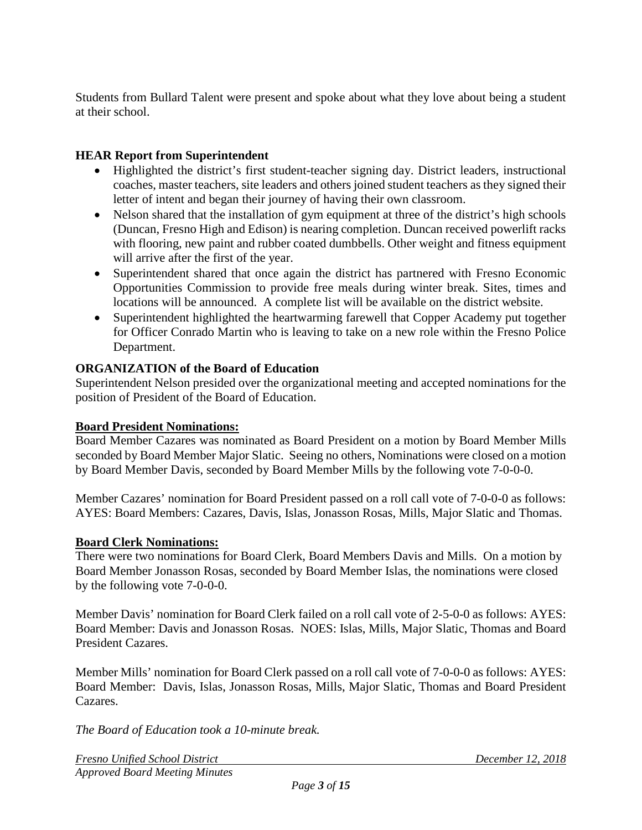Students from Bullard Talent were present and spoke about what they love about being a student at their school.

## **HEAR Report from Superintendent**

- Highlighted the district's first student-teacher signing day. District leaders, instructional coaches, master teachers, site leaders and others joined student teachers as they signed their letter of intent and began their journey of having their own classroom.
- Nelson shared that the installation of gym equipment at three of the district's high schools (Duncan, Fresno High and Edison) is nearing completion. Duncan received powerlift racks with flooring, new paint and rubber coated dumbbells. Other weight and fitness equipment will arrive after the first of the year.
- Superintendent shared that once again the district has partnered with Fresno Economic Opportunities Commission to provide free meals during winter break. Sites, times and locations will be announced. A complete list will be available on the district website.
- Superintendent highlighted the heartwarming farewell that Copper Academy put together for Officer Conrado Martin who is leaving to take on a new role within the Fresno Police Department.

### **ORGANIZATION of the Board of Education**

Superintendent Nelson presided over the organizational meeting and accepted nominations for the position of President of the Board of Education.

### **Board President Nominations:**

Board Member Cazares was nominated as Board President on a motion by Board Member Mills seconded by Board Member Major Slatic. Seeing no others, Nominations were closed on a motion by Board Member Davis, seconded by Board Member Mills by the following vote 7-0-0-0.

Member Cazares' nomination for Board President passed on a roll call vote of 7-0-0-0 as follows: AYES: Board Members: Cazares, Davis, Islas, Jonasson Rosas, Mills, Major Slatic and Thomas.

### **Board Clerk Nominations:**

There were two nominations for Board Clerk, Board Members Davis and Mills. On a motion by Board Member Jonasson Rosas, seconded by Board Member Islas, the nominations were closed by the following vote 7-0-0-0.

Member Davis' nomination for Board Clerk failed on a roll call vote of 2-5-0-0 as follows: AYES: Board Member: Davis and Jonasson Rosas. NOES: Islas, Mills, Major Slatic, Thomas and Board President Cazares.

Member Mills' nomination for Board Clerk passed on a roll call vote of 7-0-0-0 as follows: AYES: Board Member: Davis, Islas, Jonasson Rosas, Mills, Major Slatic, Thomas and Board President Cazares.

*The Board of Education took a 10-minute break.*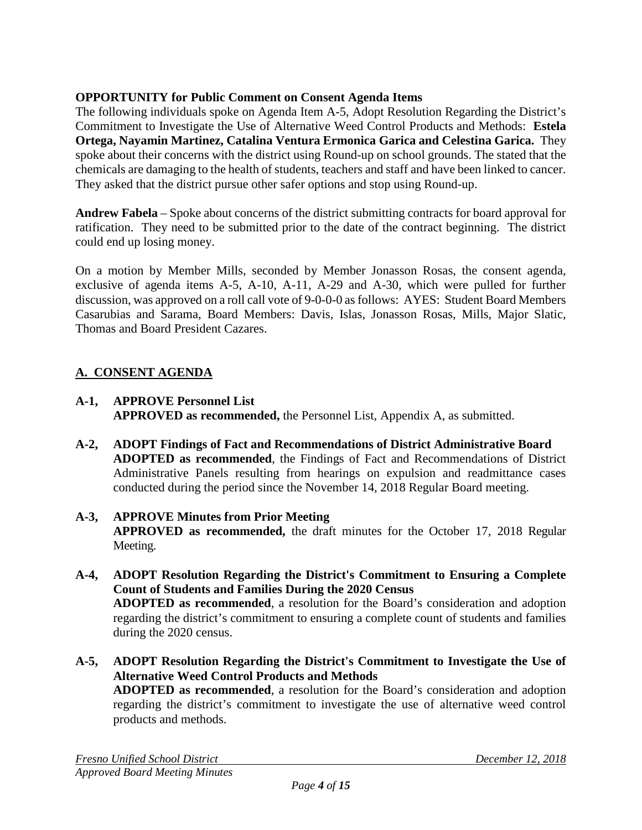# **OPPORTUNITY for Public Comment on Consent Agenda Items**

The following individuals spoke on Agenda Item A-5, Adopt Resolution Regarding the District's Commitment to Investigate the Use of Alternative Weed Control Products and Methods: **Estela Ortega, Nayamin Martinez, Catalina Ventura Ermonica Garica and Celestina Garica.** They spoke about their concerns with the district using Round-up on school grounds. The stated that the chemicals are damaging to the health of students, teachers and staff and have been linked to cancer. They asked that the district pursue other safer options and stop using Round-up.

**Andrew Fabela** – Spoke about concerns of the district submitting contracts for board approval for ratification. They need to be submitted prior to the date of the contract beginning. The district could end up losing money.

On a motion by Member Mills, seconded by Member Jonasson Rosas, the consent agenda, exclusive of agenda items A-5, A-10, A-11, A-29 and A-30, which were pulled for further discussion, was approved on a roll call vote of 9-0-0-0 as follows: AYES: Student Board Members Casarubias and Sarama, Board Members: Davis, Islas, Jonasson Rosas, Mills, Major Slatic, Thomas and Board President Cazares.

# **A. CONSENT AGENDA**

- **A-1, APPROVE Personnel List APPROVED as recommended,** the Personnel List, Appendix A, as submitted.
- **A-2, ADOPT Findings of Fact and Recommendations of District Administrative Board ADOPTED as recommended**, the Findings of Fact and Recommendations of District Administrative Panels resulting from hearings on expulsion and readmittance cases conducted during the period since the November 14, 2018 Regular Board meeting.
- **A-3, APPROVE Minutes from Prior Meeting APPROVED as recommended,** the draft minutes for the October 17, 2018 Regular Meeting.
- **A-4, ADOPT Resolution Regarding the District's Commitment to Ensuring a Complete Count of Students and Families During the 2020 Census ADOPTED as recommended**, a resolution for the Board's consideration and adoption regarding the district's commitment to ensuring a complete count of students and families during the 2020 census.
- **A-5, ADOPT Resolution Regarding the District's Commitment to Investigate the Use of Alternative Weed Control Products and Methods ADOPTED as recommended**, a resolution for the Board's consideration and adoption regarding the district's commitment to investigate the use of alternative weed control products and methods.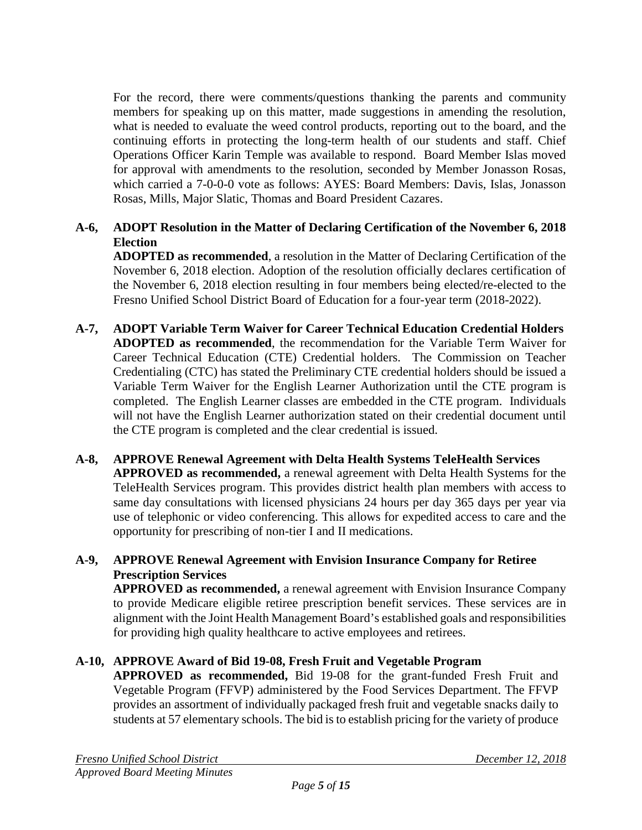For the record, there were comments/questions thanking the parents and community members for speaking up on this matter, made suggestions in amending the resolution, what is needed to evaluate the weed control products, reporting out to the board, and the continuing efforts in protecting the long-term health of our students and staff. Chief Operations Officer Karin Temple was available to respond. Board Member Islas moved for approval with amendments to the resolution, seconded by Member Jonasson Rosas, which carried a 7-0-0-0 vote as follows: AYES: Board Members: Davis, Islas, Jonasson Rosas, Mills, Major Slatic, Thomas and Board President Cazares.

# **A-6, ADOPT Resolution in the Matter of Declaring Certification of the November 6, 2018 Election**

**ADOPTED as recommended**, a resolution in the Matter of Declaring Certification of the November 6, 2018 election. Adoption of the resolution officially declares certification of the November 6, 2018 election resulting in four members being elected/re-elected to the Fresno Unified School District Board of Education for a four-year term (2018-2022).

- **A-7, ADOPT Variable Term Waiver for Career Technical Education Credential Holders ADOPTED as recommended**, the recommendation for the Variable Term Waiver for Career Technical Education (CTE) Credential holders. The Commission on Teacher Credentialing (CTC) has stated the Preliminary CTE credential holders should be issued a Variable Term Waiver for the English Learner Authorization until the CTE program is completed. The English Learner classes are embedded in the CTE program. Individuals will not have the English Learner authorization stated on their credential document until the CTE program is completed and the clear credential is issued.
- **A-8, APPROVE Renewal Agreement with Delta Health Systems TeleHealth Services APPROVED as recommended,** a renewal agreement with Delta Health Systems for the TeleHealth Services program. This provides district health plan members with access to same day consultations with licensed physicians 24 hours per day 365 days per year via use of telephonic or video conferencing. This allows for expedited access to care and the opportunity for prescribing of non-tier I and II medications.

## **A-9, APPROVE Renewal Agreement with Envision Insurance Company for Retiree Prescription Services**

**APPROVED as recommended,** a renewal agreement with Envision Insurance Company to provide Medicare eligible retiree prescription benefit services. These services are in alignment with the Joint Health Management Board's established goals and responsibilities for providing high quality healthcare to active employees and retirees.

# **A-10, APPROVE Award of Bid 19-08, Fresh Fruit and Vegetable Program**

**APPROVED as recommended,** Bid 19-08 for the grant-funded Fresh Fruit and Vegetable Program (FFVP) administered by the Food Services Department. The FFVP provides an assortment of individually packaged fresh fruit and vegetable snacks daily to students at 57 elementary schools. The bid is to establish pricing for the variety of produce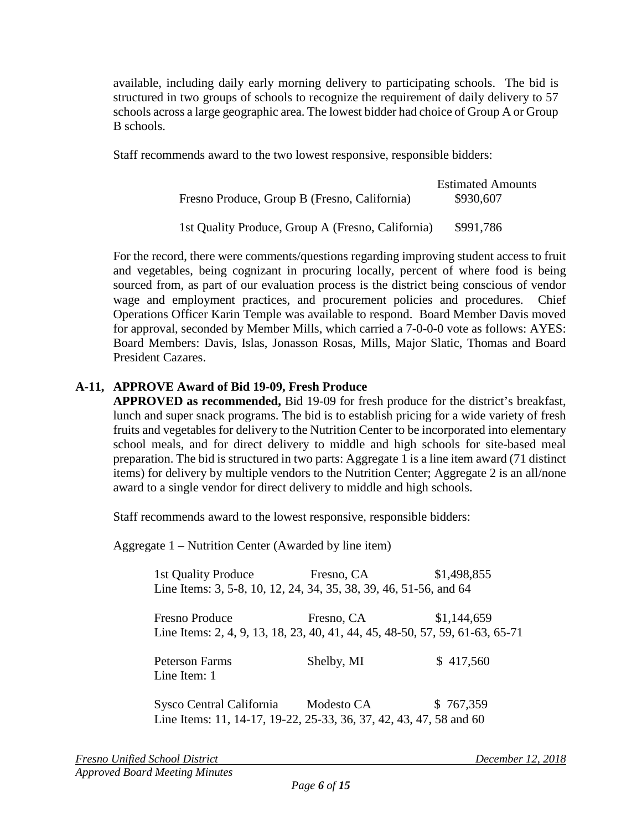available, including daily early morning delivery to participating schools. The bid is structured in two groups of schools to recognize the requirement of daily delivery to 57 schools across a large geographic area. The lowest bidder had choice of Group A or Group B schools.

Staff recommends award to the two lowest responsive, responsible bidders:

| Fresno Produce, Group B (Fresno, California)      | <b>Estimated Amounts</b><br>\$930,607 |
|---------------------------------------------------|---------------------------------------|
| 1st Quality Produce, Group A (Fresno, California) | \$991,786                             |

For the record, there were comments/questions regarding improving student access to fruit and vegetables, being cognizant in procuring locally, percent of where food is being sourced from, as part of our evaluation process is the district being conscious of vendor wage and employment practices, and procurement policies and procedures. Chief Operations Officer Karin Temple was available to respond. Board Member Davis moved for approval, seconded by Member Mills, which carried a 7-0-0-0 vote as follows: AYES: Board Members: Davis, Islas, Jonasson Rosas, Mills, Major Slatic, Thomas and Board President Cazares.

# **A-11, APPROVE Award of Bid 19-09, Fresh Produce**

**APPROVED as recommended,** Bid 19-09 for fresh produce for the district's breakfast, lunch and super snack programs. The bid is to establish pricing for a wide variety of fresh fruits and vegetables for delivery to the Nutrition Center to be incorporated into elementary school meals, and for direct delivery to middle and high schools for site-based meal preparation. The bid is structured in two parts: Aggregate 1 is a line item award (71 distinct items) for delivery by multiple vendors to the Nutrition Center; Aggregate 2 is an all/none award to a single vendor for direct delivery to middle and high schools.

Staff recommends award to the lowest responsive, responsible bidders:

Aggregate 1 – Nutrition Center (Awarded by line item)

| 1st Quality Produce                                                          | Fresno, CA | \$1,498,855 |  |
|------------------------------------------------------------------------------|------------|-------------|--|
| Line Items: 3, 5-8, 10, 12, 24, 34, 35, 38, 39, 46, 51-56, and 64            |            |             |  |
| <b>Fresno Produce</b>                                                        | Fresno, CA | \$1,144,659 |  |
| Line Items: 2, 4, 9, 13, 18, 23, 40, 41, 44, 45, 48-50, 57, 59, 61-63, 65-71 |            |             |  |
| <b>Peterson Farms</b>                                                        | Shelby, MI | \$417,560   |  |
| Line Item: 1                                                                 |            |             |  |
| Sysco Central California                                                     | Modesto CA | \$767,359   |  |

Line Items: 11, 14-17, 19-22, 25-33, 36, 37, 42, 43, 47, 58 and 60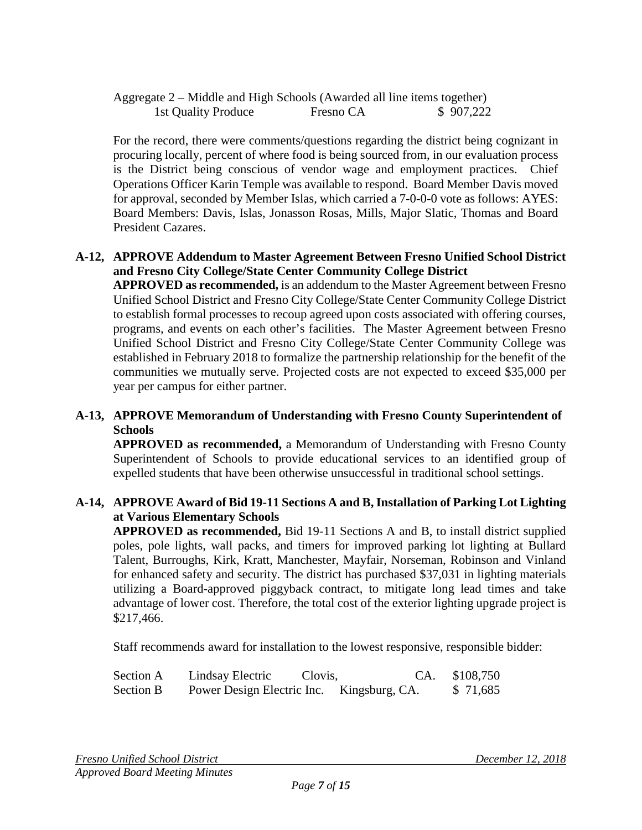| Aggregate 2 – Middle and High Schools (Awarded all line items together) |           |           |
|-------------------------------------------------------------------------|-----------|-----------|
| 1st Quality Produce                                                     | Fresno CA | \$907,222 |

For the record, there were comments/questions regarding the district being cognizant in procuring locally, percent of where food is being sourced from, in our evaluation process is the District being conscious of vendor wage and employment practices. Chief Operations Officer Karin Temple was available to respond. Board Member Davis moved for approval, seconded by Member Islas, which carried a 7-0-0-0 vote as follows: AYES: Board Members: Davis, Islas, Jonasson Rosas, Mills, Major Slatic, Thomas and Board President Cazares.

### **A-12, APPROVE Addendum to Master Agreement Between Fresno Unified School District and Fresno City College/State Center Community College District**

**APPROVED as recommended,** is an addendum to the Master Agreement between Fresno Unified School District and Fresno City College/State Center Community College District to establish formal processes to recoup agreed upon costs associated with offering courses, programs, and events on each other's facilities. The Master Agreement between Fresno Unified School District and Fresno City College/State Center Community College was established in February 2018 to formalize the partnership relationship for the benefit of the communities we mutually serve. Projected costs are not expected to exceed \$35,000 per year per campus for either partner.

### **A-13, APPROVE Memorandum of Understanding with Fresno County Superintendent of Schools**

**APPROVED as recommended,** a Memorandum of Understanding with Fresno County Superintendent of Schools to provide educational services to an identified group of expelled students that have been otherwise unsuccessful in traditional school settings.

### **A-14, APPROVE Award of Bid 19-11 Sections A and B, Installation of Parking Lot Lighting at Various Elementary Schools**

**APPROVED as recommended,** Bid 19-11 Sections A and B, to install district supplied poles, pole lights, wall packs, and timers for improved parking lot lighting at Bullard Talent, Burroughs, Kirk, Kratt, Manchester, Mayfair, Norseman, Robinson and Vinland for enhanced safety and security. The district has purchased \$37,031 in lighting materials utilizing a Board-approved piggyback contract, to mitigate long lead times and take advantage of lower cost. Therefore, the total cost of the exterior lighting upgrade project is \$217,466.

Staff recommends award for installation to the lowest responsive, responsible bidder:

| Section A | Lindsay Electric           | Clovis,        | CA. \$108,750 |
|-----------|----------------------------|----------------|---------------|
| Section B | Power Design Electric Inc. | Kingsburg, CA. | \$ 71,685     |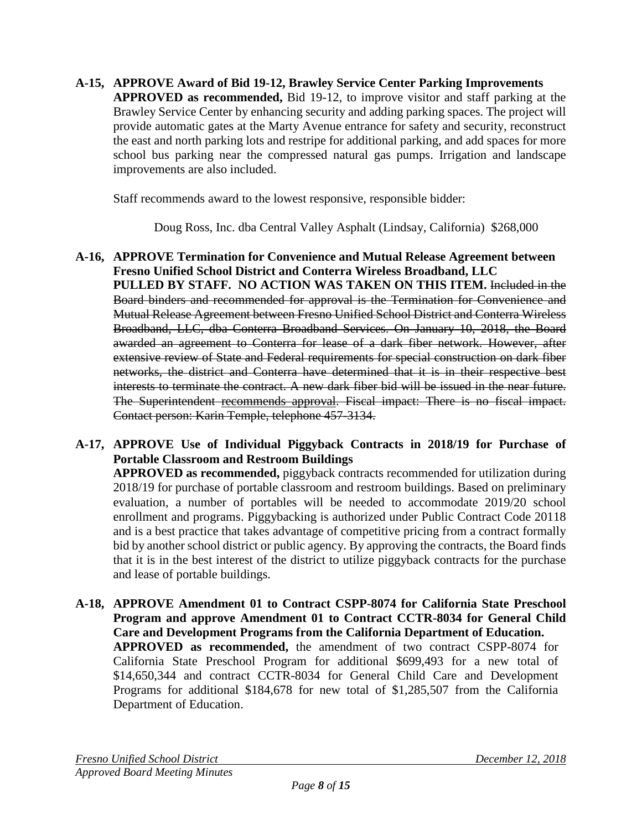**A-15, APPROVE Award of Bid 19-12, Brawley Service Center Parking Improvements APPROVED as recommended,** Bid 19-12, to improve visitor and staff parking at the Brawley Service Center by enhancing security and adding parking spaces. The project will provide automatic gates at the Marty Avenue entrance for safety and security, reconstruct the east and north parking lots and restripe for additional parking, and add spaces for more school bus parking near the compressed natural gas pumps. Irrigation and landscape improvements are also included.

Staff recommends award to the lowest responsive, responsible bidder:

Doug Ross, Inc. dba Central Valley Asphalt (Lindsay, California) \$268,000

**A-16, APPROVE Termination for Convenience and Mutual Release Agreement between Fresno Unified School District and Conterra Wireless Broadband, LLC PULLED BY STAFF. NO ACTION WAS TAKEN ON THIS ITEM.** Included in the Board binders and recommended for approval is the Termination for Convenience and Mutual Release Agreement between Fresno Unified School District and Conterra Wireless Broadband, LLC, dba Conterra Broadband Services. On January 10, 2018, the Board awarded an agreement to Conterra for lease of a dark fiber network. However, after extensive review of State and Federal requirements for special construction on dark fiber networks, the district and Conterra have determined that it is in their respective best interests to terminate the contract. A new dark fiber bid will be issued in the near future. The Superintendent recommends approval. Fiscal impact: There is no fiscal impact. Contact person: Karin Temple, telephone 457-3134.

# **A-17, APPROVE Use of Individual Piggyback Contracts in 2018/19 for Purchase of Portable Classroom and Restroom Buildings**

**APPROVED as recommended,** piggyback contracts recommended for utilization during 2018/19 for purchase of portable classroom and restroom buildings. Based on preliminary evaluation, a number of portables will be needed to accommodate 2019/20 school enrollment and programs. Piggybacking is authorized under Public Contract Code 20118 and is a best practice that takes advantage of competitive pricing from a contract formally bid by another school district or public agency. By approving the contracts, the Board finds that it is in the best interest of the district to utilize piggyback contracts for the purchase and lease of portable buildings.

**A-18, APPROVE Amendment 01 to Contract CSPP-8074 for California State Preschool Program and approve Amendment 01 to Contract CCTR-8034 for General Child Care and Development Programs from the California Department of Education. APPROVED as recommended,** the amendment of two contract CSPP-8074 for California State Preschool Program for additional \$699,493 for a new total of \$14,650,344 and contract CCTR-8034 for General Child Care and Development Programs for additional \$184,678 for new total of \$1,285,507 from the California Department of Education.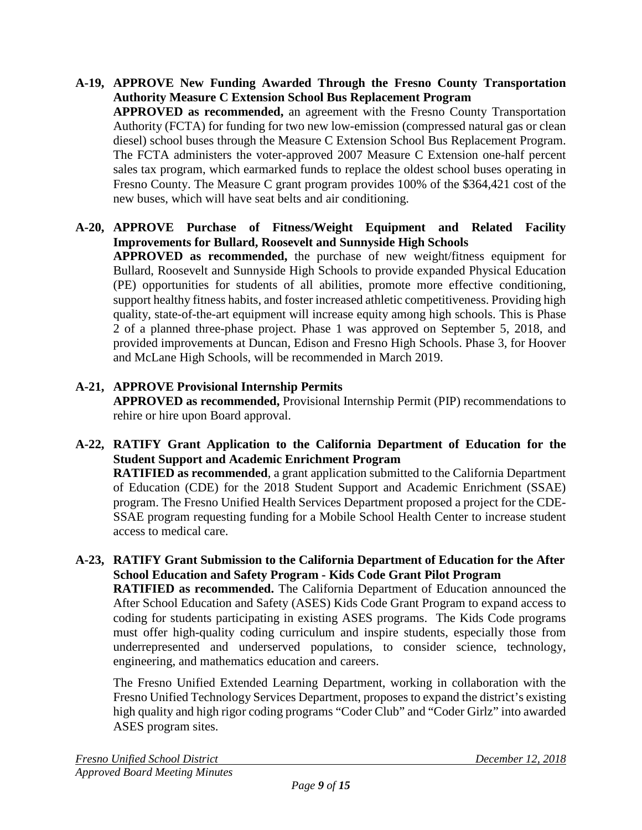**A-19, APPROVE New Funding Awarded Through the Fresno County Transportation Authority Measure C Extension School Bus Replacement Program APPROVED as recommended,** an agreement with the Fresno County Transportation Authority (FCTA) for funding for two new low-emission (compressed natural gas or clean diesel) school buses through the Measure C Extension School Bus Replacement Program. The FCTA administers the voter-approved 2007 Measure C Extension one-half percent sales tax program, which earmarked funds to replace the oldest school buses operating in Fresno County. The Measure C grant program provides 100% of the \$364,421 cost of the new buses, which will have seat belts and air conditioning.

### **A-20, APPROVE Purchase of Fitness/Weight Equipment and Related Facility Improvements for Bullard, Roosevelt and Sunnyside High Schools APPROVED as recommended,** the purchase of new weight/fitness equipment for Bullard, Roosevelt and Sunnyside High Schools to provide expanded Physical Education (PE) opportunities for students of all abilities, promote more effective conditioning, support healthy fitness habits, and foster increased athletic competitiveness. Providing high quality, state-of-the-art equipment will increase equity among high schools. This is Phase 2 of a planned three-phase project. Phase 1 was approved on September 5, 2018, and provided improvements at Duncan, Edison and Fresno High Schools. Phase 3, for Hoover and McLane High Schools, will be recommended in March 2019.

# **A-21, APPROVE Provisional Internship Permits**

**APPROVED as recommended,** Provisional Internship Permit (PIP) recommendations to rehire or hire upon Board approval.

# **A-22, RATIFY Grant Application to the California Department of Education for the Student Support and Academic Enrichment Program**

**RATIFIED as recommended**, a grant application submitted to the California Department of Education (CDE) for the 2018 Student Support and Academic Enrichment (SSAE) program. The Fresno Unified Health Services Department proposed a project for the CDE-SSAE program requesting funding for a Mobile School Health Center to increase student access to medical care.

# **A-23, RATIFY Grant Submission to the California Department of Education for the After School Education and Safety Program - Kids Code Grant Pilot Program**

**RATIFIED as recommended.** The California Department of Education announced the After School Education and Safety (ASES) Kids Code Grant Program to expand access to coding for students participating in existing ASES programs. The Kids Code programs must offer high-quality coding curriculum and inspire students, especially those from underrepresented and underserved populations, to consider science, technology, engineering, and mathematics education and careers.

The Fresno Unified Extended Learning Department, working in collaboration with the Fresno Unified Technology Services Department, proposes to expand the district's existing high quality and high rigor coding programs "Coder Club" and "Coder Girlz" into awarded ASES program sites.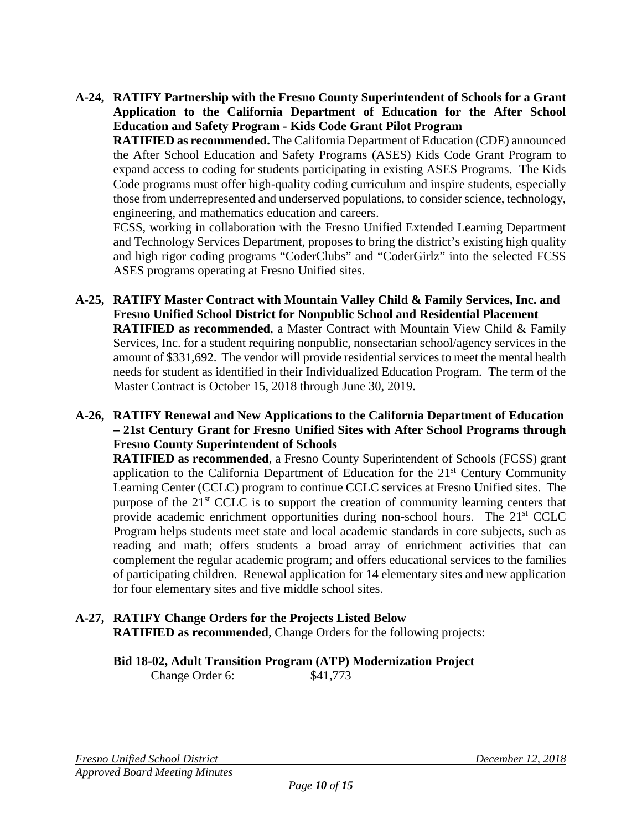**A-24, RATIFY Partnership with the Fresno County Superintendent of Schools for a Grant Application to the California Department of Education for the After School Education and Safety Program - Kids Code Grant Pilot Program**

**RATIFIED as recommended.** The California Department of Education (CDE) announced the After School Education and Safety Programs (ASES) Kids Code Grant Program to expand access to coding for students participating in existing ASES Programs. The Kids Code programs must offer high-quality coding curriculum and inspire students, especially those from underrepresented and underserved populations, to consider science, technology, engineering, and mathematics education and careers.

FCSS, working in collaboration with the Fresno Unified Extended Learning Department and Technology Services Department, proposes to bring the district's existing high quality and high rigor coding programs "CoderClubs" and "CoderGirlz" into the selected FCSS ASES programs operating at Fresno Unified sites.

**A-25, RATIFY Master Contract with Mountain Valley Child & Family Services, Inc. and Fresno Unified School District for Nonpublic School and Residential Placement RATIFIED as recommended**, a Master Contract with Mountain View Child & Family Services, Inc. for a student requiring nonpublic, nonsectarian school/agency services in the amount of \$331,692. The vendor will provide residential services to meet the mental health needs for student as identified in their Individualized Education Program. The term of the Master Contract is October 15, 2018 through June 30, 2019.

### **A-26, RATIFY Renewal and New Applications to the California Department of Education – 21st Century Grant for Fresno Unified Sites with After School Programs through Fresno County Superintendent of Schools**

**RATIFIED as recommended**, a Fresno County Superintendent of Schools (FCSS) grant application to the California Department of Education for the  $21<sup>st</sup>$  Century Community Learning Center (CCLC) program to continue CCLC services at Fresno Unified sites. The purpose of the 21<sup>st</sup> CCLC is to support the creation of community learning centers that provide academic enrichment opportunities during non-school hours. The 21<sup>st</sup> CCLC Program helps students meet state and local academic standards in core subjects, such as reading and math; offers students a broad array of enrichment activities that can complement the regular academic program; and offers educational services to the families of participating children. Renewal application for 14 elementary sites and new application for four elementary sites and five middle school sites.

## **A-27, RATIFY Change Orders for the Projects Listed Below RATIFIED as recommended**, Change Orders for the following projects:

# **Bid 18-02, Adult Transition Program (ATP) Modernization Project**

Change Order 6: \$41,773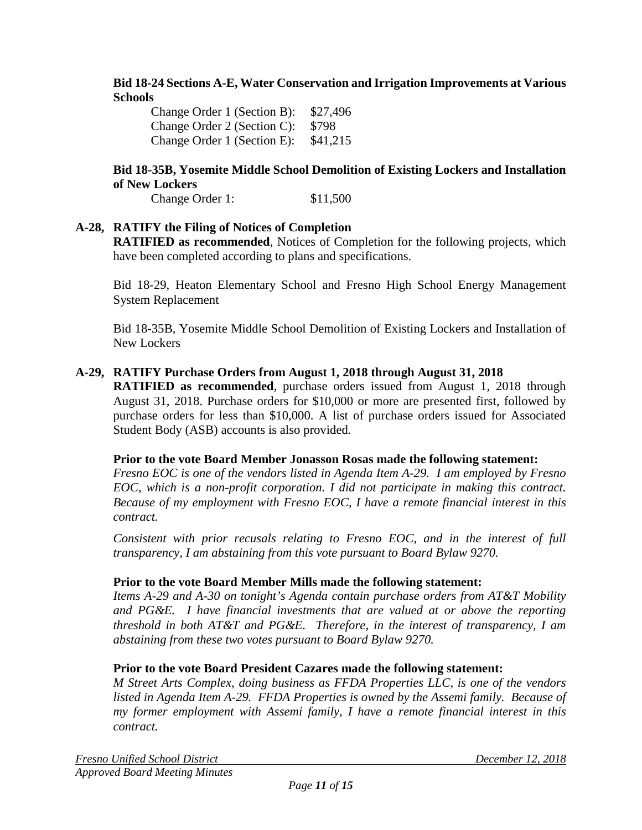### **Bid 18-24 Sections A-E, Water Conservation and Irrigation Improvements at Various Schools**

Change Order 1 (Section B): \$27,496 Change Order 2 (Section C): \$798 Change Order 1 (Section E): \$41,215

### **Bid 18-35B, Yosemite Middle School Demolition of Existing Lockers and Installation of New Lockers**

Change Order 1: \$11,500

### **A-28, RATIFY the Filing of Notices of Completion**

**RATIFIED as recommended**, Notices of Completion for the following projects, which have been completed according to plans and specifications.

Bid 18-29, Heaton Elementary School and Fresno High School Energy Management System Replacement

Bid 18-35B, Yosemite Middle School Demolition of Existing Lockers and Installation of New Lockers

### **A-29, RATIFY Purchase Orders from August 1, 2018 through August 31, 2018**

**RATIFIED as recommended**, purchase orders issued from August 1, 2018 through August 31, 2018. Purchase orders for \$10,000 or more are presented first, followed by purchase orders for less than \$10,000. A list of purchase orders issued for Associated Student Body (ASB) accounts is also provided.

#### **Prior to the vote Board Member Jonasson Rosas made the following statement:**

*Fresno EOC is one of the vendors listed in Agenda Item A-29. I am employed by Fresno EOC, which is a non-profit corporation. I did not participate in making this contract. Because of my employment with Fresno EOC, I have a remote financial interest in this contract.* 

*Consistent with prior recusals relating to Fresno EOC, and in the interest of full transparency, I am abstaining from this vote pursuant to Board Bylaw 9270.* 

#### **Prior to the vote Board Member Mills made the following statement:**

*Items A-29 and A-30 on tonight's Agenda contain purchase orders from AT&T Mobility and PG&E. I have financial investments that are valued at or above the reporting threshold in both AT&T and PG&E. Therefore, in the interest of transparency, I am abstaining from these two votes pursuant to Board Bylaw 9270.*

#### **Prior to the vote Board President Cazares made the following statement:**

*M Street Arts Complex, doing business as FFDA Properties LLC, is one of the vendors listed in Agenda Item A-29. FFDA Properties is owned by the Assemi family. Because of my former employment with Assemi family, I have a remote financial interest in this contract.*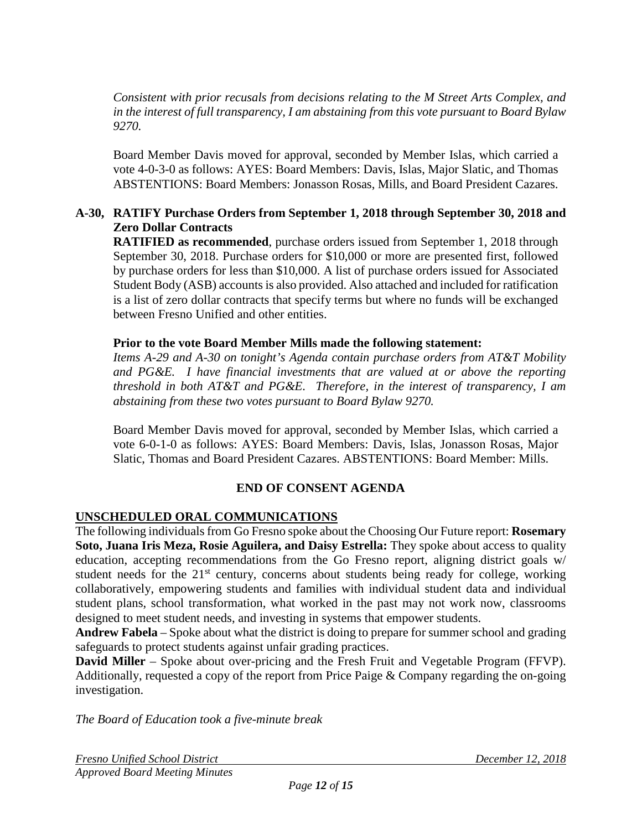*Consistent with prior recusals from decisions relating to the M Street Arts Complex, and in the interest of full transparency, I am abstaining from this vote pursuant to Board Bylaw 9270.*

Board Member Davis moved for approval, seconded by Member Islas, which carried a vote 4-0-3-0 as follows: AYES: Board Members: Davis, Islas, Major Slatic, and Thomas ABSTENTIONS: Board Members: Jonasson Rosas, Mills, and Board President Cazares.

## **A-30, RATIFY Purchase Orders from September 1, 2018 through September 30, 2018 and Zero Dollar Contracts**

**RATIFIED as recommended**, purchase orders issued from September 1, 2018 through September 30, 2018. Purchase orders for \$10,000 or more are presented first, followed by purchase orders for less than \$10,000. A list of purchase orders issued for Associated Student Body (ASB) accounts is also provided. Also attached and included for ratification is a list of zero dollar contracts that specify terms but where no funds will be exchanged between Fresno Unified and other entities.

### **Prior to the vote Board Member Mills made the following statement:**

*Items A-29 and A-30 on tonight's Agenda contain purchase orders from AT&T Mobility and PG&E. I have financial investments that are valued at or above the reporting threshold in both AT&T and PG&E. Therefore, in the interest of transparency, I am abstaining from these two votes pursuant to Board Bylaw 9270.* 

Board Member Davis moved for approval, seconded by Member Islas, which carried a vote 6-0-1-0 as follows: AYES: Board Members: Davis, Islas, Jonasson Rosas, Major Slatic, Thomas and Board President Cazares. ABSTENTIONS: Board Member: Mills.

### **END OF CONSENT AGENDA**

### **UNSCHEDULED ORAL COMMUNICATIONS**

The following individuals from Go Fresno spoke about the Choosing Our Future report: **Rosemary Soto, Juana Iris Meza, Rosie Aguilera, and Daisy Estrella:** They spoke about access to quality education, accepting recommendations from the Go Fresno report, aligning district goals w/ student needs for the  $21<sup>st</sup>$  century, concerns about students being ready for college, working collaboratively, empowering students and families with individual student data and individual student plans, school transformation, what worked in the past may not work now, classrooms designed to meet student needs, and investing in systems that empower students.

**Andrew Fabela** – Spoke about what the district is doing to prepare for summer school and grading safeguards to protect students against unfair grading practices.

**David Miller** – Spoke about over-pricing and the Fresh Fruit and Vegetable Program (FFVP). Additionally, requested a copy of the report from Price Paige & Company regarding the on-going investigation.

*The Board of Education took a five-minute break*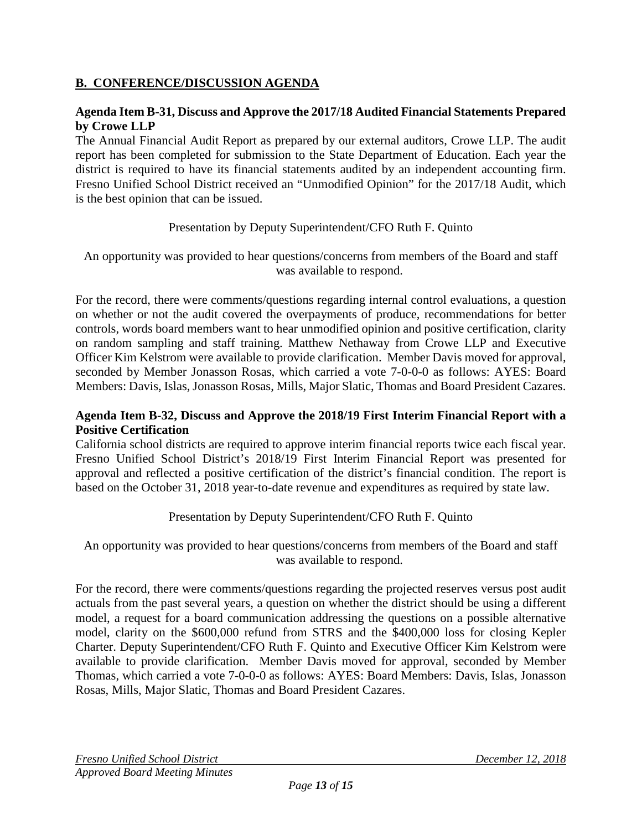## **B. CONFERENCE/DISCUSSION AGENDA**

### **Agenda Item B-31, Discuss and Approve the 2017/18 Audited Financial Statements Prepared by Crowe LLP**

The Annual Financial Audit Report as prepared by our external auditors, Crowe LLP. The audit report has been completed for submission to the State Department of Education. Each year the district is required to have its financial statements audited by an independent accounting firm. Fresno Unified School District received an "Unmodified Opinion" for the 2017/18 Audit, which is the best opinion that can be issued.

### Presentation by Deputy Superintendent/CFO Ruth F. Quinto

An opportunity was provided to hear questions/concerns from members of the Board and staff was available to respond.

For the record, there were comments/questions regarding internal control evaluations, a question on whether or not the audit covered the overpayments of produce, recommendations for better controls, words board members want to hear unmodified opinion and positive certification, clarity on random sampling and staff training. Matthew Nethaway from Crowe LLP and Executive Officer Kim Kelstrom were available to provide clarification. Member Davis moved for approval, seconded by Member Jonasson Rosas, which carried a vote 7-0-0-0 as follows: AYES: Board Members: Davis, Islas, Jonasson Rosas, Mills, Major Slatic, Thomas and Board President Cazares.

### **Agenda Item B-32, Discuss and Approve the 2018/19 First Interim Financial Report with a Positive Certification**

California school districts are required to approve interim financial reports twice each fiscal year. Fresno Unified School District's 2018/19 First Interim Financial Report was presented for approval and reflected a positive certification of the district's financial condition. The report is based on the October 31, 2018 year-to-date revenue and expenditures as required by state law.

Presentation by Deputy Superintendent/CFO Ruth F. Quinto

An opportunity was provided to hear questions/concerns from members of the Board and staff was available to respond.

For the record, there were comments/questions regarding the projected reserves versus post audit actuals from the past several years, a question on whether the district should be using a different model, a request for a board communication addressing the questions on a possible alternative model, clarity on the \$600,000 refund from STRS and the \$400,000 loss for closing Kepler Charter. Deputy Superintendent/CFO Ruth F. Quinto and Executive Officer Kim Kelstrom were available to provide clarification. Member Davis moved for approval, seconded by Member Thomas, which carried a vote 7-0-0-0 as follows: AYES: Board Members: Davis, Islas, Jonasson Rosas, Mills, Major Slatic, Thomas and Board President Cazares.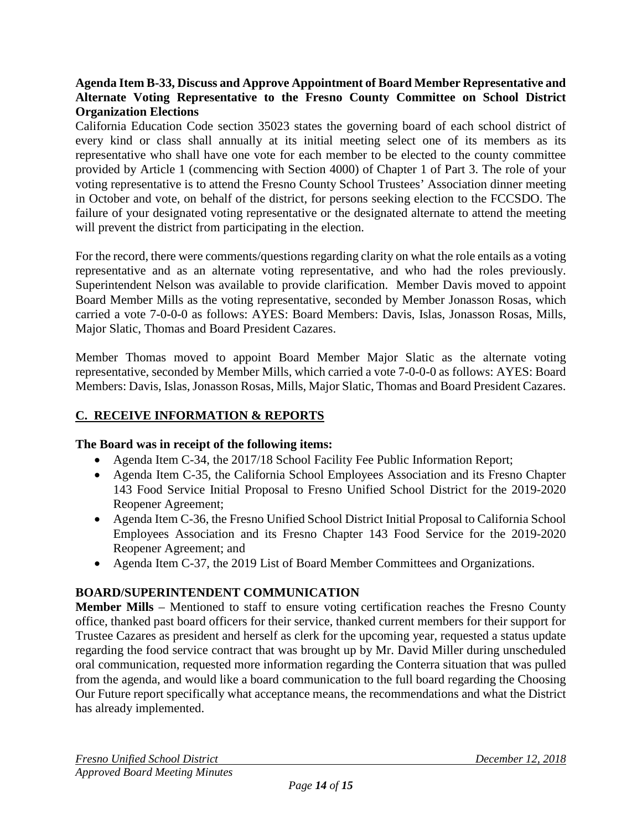### **Agenda Item B-33, Discuss and Approve Appointment of Board Member Representative and Alternate Voting Representative to the Fresno County Committee on School District Organization Elections**

California Education Code section 35023 states the governing board of each school district of every kind or class shall annually at its initial meeting select one of its members as its representative who shall have one vote for each member to be elected to the county committee provided by Article 1 (commencing with Section 4000) of Chapter 1 of Part 3. The role of your voting representative is to attend the Fresno County School Trustees' Association dinner meeting in October and vote, on behalf of the district, for persons seeking election to the FCCSDO. The failure of your designated voting representative or the designated alternate to attend the meeting will prevent the district from participating in the election.

For the record, there were comments/questions regarding clarity on what the role entails as a voting representative and as an alternate voting representative, and who had the roles previously. Superintendent Nelson was available to provide clarification. Member Davis moved to appoint Board Member Mills as the voting representative, seconded by Member Jonasson Rosas, which carried a vote 7-0-0-0 as follows: AYES: Board Members: Davis, Islas, Jonasson Rosas, Mills, Major Slatic, Thomas and Board President Cazares.

Member Thomas moved to appoint Board Member Major Slatic as the alternate voting representative, seconded by Member Mills, which carried a vote 7-0-0-0 as follows: AYES: Board Members: Davis, Islas, Jonasson Rosas, Mills, Major Slatic, Thomas and Board President Cazares.

# **C. RECEIVE INFORMATION & REPORTS**

### **The Board was in receipt of the following items:**

- Agenda Item C-34, the 2017/18 School Facility Fee Public Information Report;
- Agenda Item C-35, the California School Employees Association and its Fresno Chapter 143 Food Service Initial Proposal to Fresno Unified School District for the 2019-2020 Reopener Agreement;
- Agenda Item C-36, the Fresno Unified School District Initial Proposal to California School Employees Association and its Fresno Chapter 143 Food Service for the 2019-2020 Reopener Agreement; and
- Agenda Item C-37, the 2019 List of Board Member Committees and Organizations.

# **BOARD/SUPERINTENDENT COMMUNICATION**

**Member Mills** – Mentioned to staff to ensure voting certification reaches the Fresno County office, thanked past board officers for their service, thanked current members for their support for Trustee Cazares as president and herself as clerk for the upcoming year, requested a status update regarding the food service contract that was brought up by Mr. David Miller during unscheduled oral communication, requested more information regarding the Conterra situation that was pulled from the agenda, and would like a board communication to the full board regarding the Choosing Our Future report specifically what acceptance means, the recommendations and what the District has already implemented.